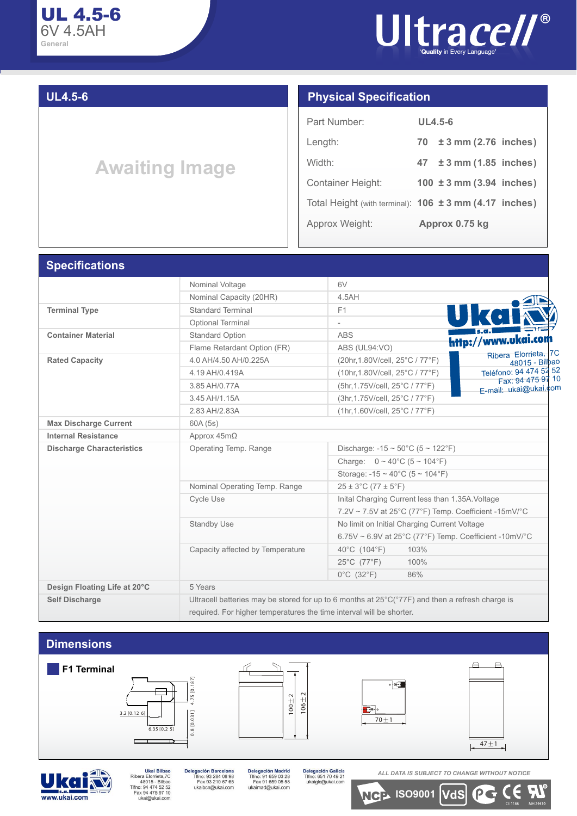

### **UL4.5-6**

# **Awaiting Image**

#### **Physical Specification**

| Part Number:      | UL4.5-6                                                |
|-------------------|--------------------------------------------------------|
| Length:           | 70 ± 3 mm (2.76 inches)                                |
| Width:            | $47 \pm 3 \text{ mm}$ (1.85 inches)                    |
| Container Height: | 100 $\pm$ 3 mm (3.94 inches)                           |
|                   | Total Height (with terminal): 106 ± 3 mm (4.17 inches) |
| Approx Weight:    | Approx 0.75 kg                                         |

#### **Specifications**

|                                  | Nominal Voltage                                                                                                 | 6V                                                                           |  |  |  |  |  |  |  |
|----------------------------------|-----------------------------------------------------------------------------------------------------------------|------------------------------------------------------------------------------|--|--|--|--|--|--|--|
|                                  | Nominal Capacity (20HR)                                                                                         | 4.5AH                                                                        |  |  |  |  |  |  |  |
| <b>Terminal Type</b>             | <b>Standard Terminal</b>                                                                                        | F1                                                                           |  |  |  |  |  |  |  |
|                                  | <b>Optional Terminal</b>                                                                                        |                                                                              |  |  |  |  |  |  |  |
| <b>Container Material</b>        | Standard Option                                                                                                 | <b>ABS</b><br>http://www.ukai.com                                            |  |  |  |  |  |  |  |
|                                  | Flame Retardant Option (FR)                                                                                     | ABS (UL94:VO)                                                                |  |  |  |  |  |  |  |
| <b>Rated Capacity</b>            | 4.0 AH/4.50 AH/0.225A                                                                                           | Ribera Elorrieta, 7C<br>(20hr, 1.80V/cell, 25°C / 77°F)<br>48015 - Bilbao    |  |  |  |  |  |  |  |
|                                  | 4.19 AH/0.419A                                                                                                  | Teléfono: 94 474 52 52<br>(10hr, 1.80V/cell, 25°C / 77°F)                    |  |  |  |  |  |  |  |
|                                  | 3.85 AH/0.77A                                                                                                   | Fax: 94 475 97 10<br>(5hr, 1.75V/cell, 25°C / 77°F)<br>E-mail: ukai@ukai.com |  |  |  |  |  |  |  |
|                                  | 3.45 AH/1.15A                                                                                                   | (3hr, 1.75V/cell, 25°C / 77°F)                                               |  |  |  |  |  |  |  |
|                                  | 2.83 AH/2.83A                                                                                                   | (1hr, 1.60V/cell, 25°C / 77°F)                                               |  |  |  |  |  |  |  |
| <b>Max Discharge Current</b>     | 60A (5s)                                                                                                        |                                                                              |  |  |  |  |  |  |  |
| <b>Internal Resistance</b>       | Approx $45m\Omega$                                                                                              |                                                                              |  |  |  |  |  |  |  |
| <b>Discharge Characteristics</b> | Operating Temp. Range                                                                                           | Discharge: $-15 \sim 50^{\circ}$ C (5 ~ 122°F)                               |  |  |  |  |  |  |  |
|                                  |                                                                                                                 | Charge: $0 \sim 40^{\circ}$ C (5 ~ 104°F)                                    |  |  |  |  |  |  |  |
|                                  |                                                                                                                 | Storage: $-15 \sim 40^{\circ}$ C (5 ~ 104°F)                                 |  |  |  |  |  |  |  |
|                                  | Nominal Operating Temp. Range                                                                                   | $25 \pm 3^{\circ}$ C (77 $\pm 5^{\circ}$ F)                                  |  |  |  |  |  |  |  |
|                                  | <b>Cycle Use</b>                                                                                                | Inital Charging Current less than 1.35A. Voltage                             |  |  |  |  |  |  |  |
|                                  |                                                                                                                 | $7.2V \sim 7.5V$ at 25°C (77°F) Temp. Coefficient -15mV/°C                   |  |  |  |  |  |  |  |
|                                  | <b>Standby Use</b>                                                                                              | No limit on Initial Charging Current Voltage                                 |  |  |  |  |  |  |  |
|                                  |                                                                                                                 | 6.75V ~ 6.9V at 25°C (77°F) Temp. Coefficient -10mV/°C                       |  |  |  |  |  |  |  |
|                                  | Capacity affected by Temperature                                                                                | 40°C (104°F)<br>103%                                                         |  |  |  |  |  |  |  |
|                                  |                                                                                                                 | $25^{\circ}$ C (77 $^{\circ}$ F)<br>100%                                     |  |  |  |  |  |  |  |
|                                  |                                                                                                                 | $0^{\circ}$ C (32 $^{\circ}$ F)<br>86%                                       |  |  |  |  |  |  |  |
| Design Floating Life at 20°C     | 5 Years                                                                                                         |                                                                              |  |  |  |  |  |  |  |
| <b>Self Discharge</b>            | Ultracell batteries may be stored for up to 6 months at $25^{\circ}C(^{\circ}77F)$ and then a refresh charge is |                                                                              |  |  |  |  |  |  |  |
|                                  | required. For higher temperatures the time interval will be shorter.                                            |                                                                              |  |  |  |  |  |  |  |



www.ukai.com